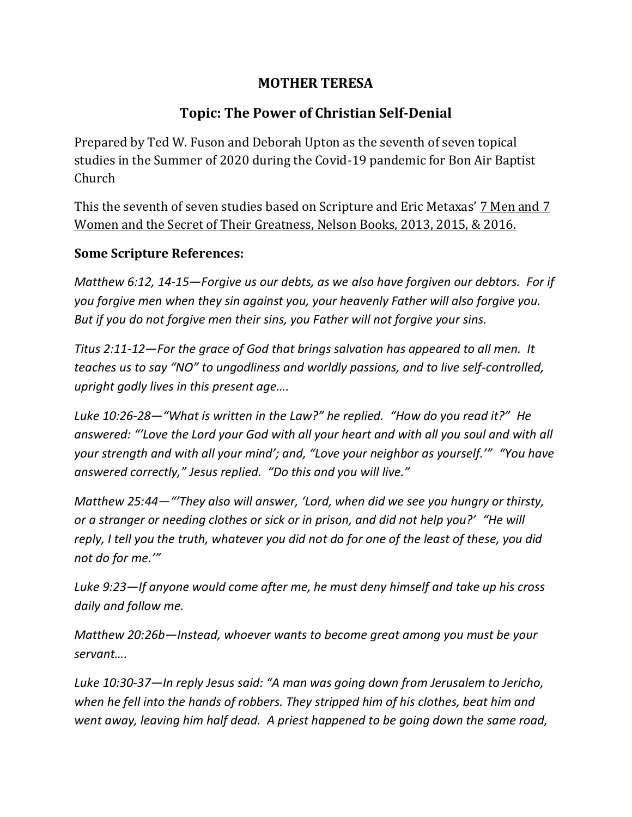## **MOTHER TERESA**

## **Topic: The Power of Christian Self-Denial**

Prepared by Ted W. Fuson and Deborah Upton as the seventh of seven topical studies in the Summer of 2020 during the Covid-19 pandemic for Bon Air Baptist Church

This the seventh of seven studies based on Scripture and Eric Metaxas' 7 Men and 7 Women and the Secret of Their Greatness, Nelson Books, 2013, 2015, & 2016.

## **Some Scripture References:**

*Matthew 6:12, 14-15—Forgive us our debts, as we also have forgiven our debtors. For if you forgive men when they sin against you, your heavenly Father will also forgive you. But if you do not forgive men their sins, you Father will not forgive your sins.*

*Titus 2:11-12—For the grace of God that brings salvation has appeared to all men. It teaches us to say "NO" to ungodliness and worldly passions, and to live self-controlled, upright godly lives in this present age….*

*Luke 10:26-28—"What is written in the Law?" he replied. "How do you read it?" He answered: "'Love the Lord your God with all your heart and with all you soul and with all your strength and with all your mind'; and, "Love your neighbor as yourself.'" "You have answered correctly," Jesus replied. "Do this and you will live."*

*Matthew 25:44—"'They also will answer, 'Lord, when did we see you hungry or thirsty, or a stranger or needing clothes or sick or in prison, and did not help you?' "He will reply, I tell you the truth, whatever you did not do for one of the least of these, you did not do for me.'"*

*Luke 9:23—If anyone would come after me, he must deny himself and take up his cross daily and follow me.*

*Matthew 20:26b—Instead, whoever wants to become great among you must be your servant….*

*Luke 10:30-37—In reply Jesus said: "A man was going down from Jerusalem to Jericho, when he fell into the hands of robbers. They stripped him of his clothes, beat him and went away, leaving him half dead. A priest happened to be going down the same road,*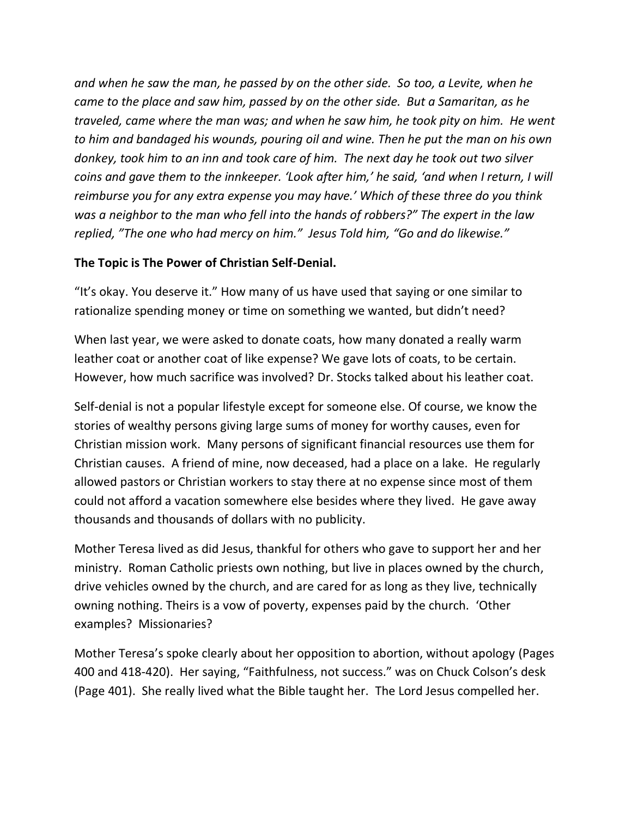*and when he saw the man, he passed by on the other side. So too, a Levite, when he came to the place and saw him, passed by on the other side. But a Samaritan, as he traveled, came where the man was; and when he saw him, he took pity on him. He went to him and bandaged his wounds, pouring oil and wine. Then he put the man on his own donkey, took him to an inn and took care of him. The next day he took out two silver coins and gave them to the innkeeper. 'Look after him,' he said, 'and when I return, I will reimburse you for any extra expense you may have.' Which of these three do you think was a neighbor to the man who fell into the hands of robbers?" The expert in the law replied, "The one who had mercy on him." Jesus Told him, "Go and do likewise."*

## **The Topic is The Power of Christian Self-Denial.**

"It's okay. You deserve it." How many of us have used that saying or one similar to rationalize spending money or time on something we wanted, but didn't need?

When last year, we were asked to donate coats, how many donated a really warm leather coat or another coat of like expense? We gave lots of coats, to be certain. However, how much sacrifice was involved? Dr. Stocks talked about his leather coat.

Self-denial is not a popular lifestyle except for someone else. Of course, we know the stories of wealthy persons giving large sums of money for worthy causes, even for Christian mission work. Many persons of significant financial resources use them for Christian causes. A friend of mine, now deceased, had a place on a lake. He regularly allowed pastors or Christian workers to stay there at no expense since most of them could not afford a vacation somewhere else besides where they lived. He gave away thousands and thousands of dollars with no publicity.

Mother Teresa lived as did Jesus, thankful for others who gave to support her and her ministry. Roman Catholic priests own nothing, but live in places owned by the church, drive vehicles owned by the church, and are cared for as long as they live, technically owning nothing. Theirs is a vow of poverty, expenses paid by the church. 'Other examples? Missionaries?

Mother Teresa's spoke clearly about her opposition to abortion, without apology (Pages 400 and 418-420). Her saying, "Faithfulness, not success." was on Chuck Colson's desk (Page 401). She really lived what the Bible taught her. The Lord Jesus compelled her.